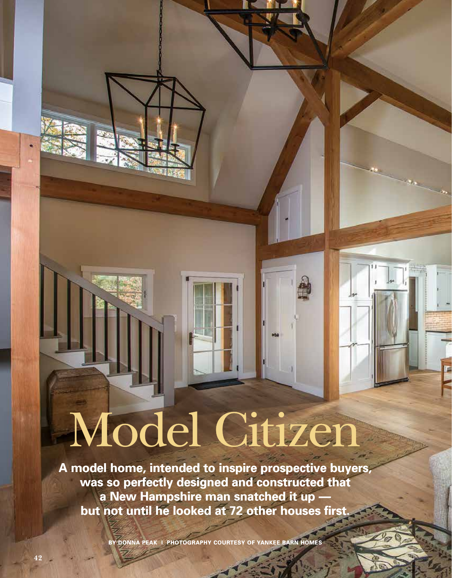## Model Citizen

**A model home, intended to inspire prospective buyers, was so perfectly designed and constructed that a New Hampshire man snatched it up but not until he looked at 72 other houses first.**

**BY DONNA PEAK | PHOTOGRAPHY COURTESY OF YANKEE BARN HOMES**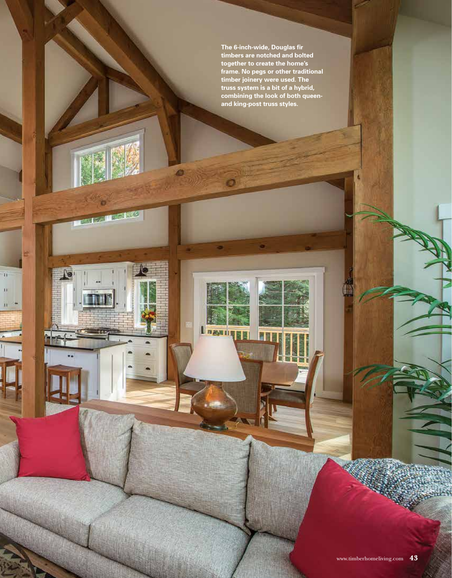**The 6-inch-wide, Douglas fir timbers are notched and bolted together to create the home's frame. No pegs or other traditional timber joinery were used. The truss system is a bit of a hybrid, combining the look of both queenand king-post truss styles.**

a

nin

ä

Lagung

**CONTRACTOR** 

 $\mathbf{H}$ 

 $\mathbf{H}$ 

n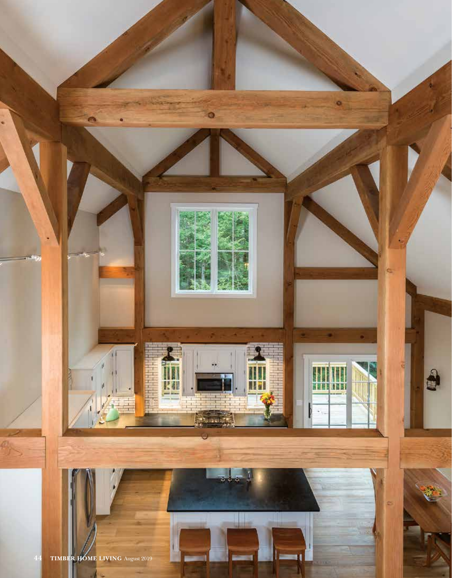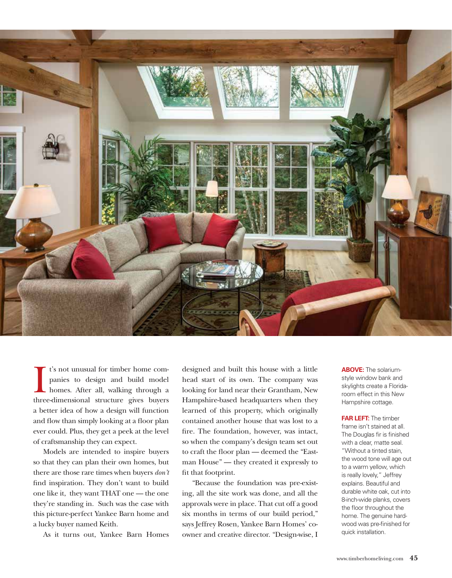

t's not unusual for timber home companies to design and build model<br>homes. After all, walking through a<br>three-dimensional structure gives buyers t's not unusual for timber home companies to design and build model homes. After all, walking through a a better idea of how a design will function and flow than simply looking at a floor plan ever could. Plus, they get a peek at the level of craftsmanship they can expect.

Models are intended to inspire buyers so that they can plan their own homes, but there are those rare times when buyers *don't* find inspiration. They don't want to build one like it, they want THAT one — the one they're standing in. Such was the case with this picture-perfect Yankee Barn home and a lucky buyer named Keith.

As it turns out, Yankee Barn Homes

designed and built this house with a little head start of its own. The company was looking for land near their Grantham, New Hampshire-based headquarters when they learned of this property, which originally contained another house that was lost to a fire. The foundation, however, was intact, so when the company's design team set out to craft the floor plan — deemed the "Eastman House" — they created it expressly to fit that footprint.

"Because the foundation was pre-existing, all the site work was done, and all the approvals were in place. That cut off a good six months in terms of our build period," says Jeffrey Rosen, Yankee Barn Homes' coowner and creative director. "Design-wise, I

**ABOVE:** The solariumstyle window bank and skylights create a Floridaroom effect in this New Hampshire cottage.

**FAR LEFT:** The timber frame isn't stained at all. The Douglas fir is finished with a clear, matte seal. "Without a tinted stain, the wood tone will age out to a warm yellow, which is really lovely," Jeffrey explains. Beautiful and durable white oak, cut into 8-inch-wide planks, covers the floor throughout the home. The genuine hardwood was pre-finished for quick installation.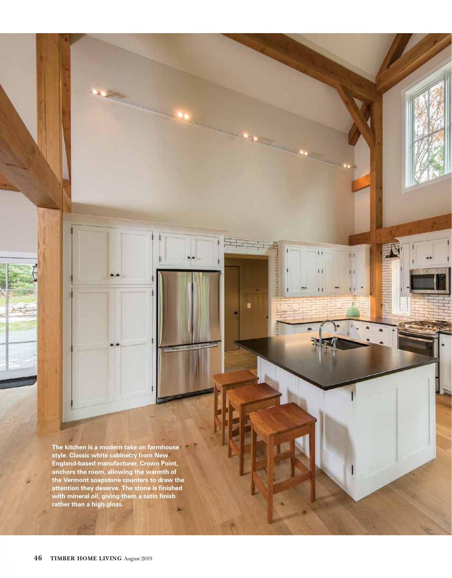**The kitchen is a modern take on farmhouse style. Classic white cabinetry from New England-based manufacturer, Crown Point, anchors the room, allowing the warmth of the Vermont soapstone counters to draw the attention they deserve. The stone is finished with mineral oil, giving them a satin finish rather than a high gloss.** 

ماه

Ħ

 $\overline{1}$ 

 $\mathbf{1}$ 

 $11$ 

ti t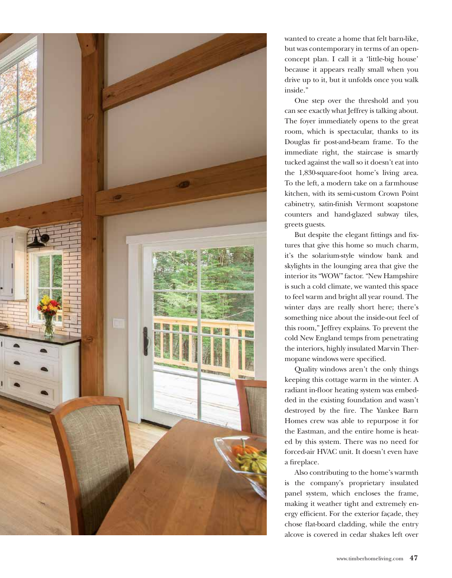

wanted to create a home that felt barn-like, but was contemporary in terms of an openconcept plan. I call it a 'little-big house' because it appears really small when you drive up to it, but it unfolds once you walk inside."

One step over the threshold and you can see exactly what Jeffrey is talking about. The foyer immediately opens to the great room, which is spectacular, thanks to its Douglas fir post-and-beam frame. To the immediate right, the staircase is smartly tucked against the wall so it doesn't eat into the 1,830-square-foot home's living area. To the left, a modern take on a farmhouse kitchen, with its semi-custom Crown Point cabinetry, satin-finish Vermont soapstone counters and hand-glazed subway tiles, greets guests.

But despite the elegant fittings and fixtures that give this home so much charm, it's the solarium-style window bank and skylights in the lounging area that give the interior its "WOW" factor. "New Hampshire is such a cold climate, we wanted this space to feel warm and bright all year round. The winter days are really short here; there's something nice about the inside-out feel of this room," Jeffrey explains. To prevent the cold New England temps from penetrating the interiors, highly insulated Marvin Thermopane windows were specified.

Quality windows aren't the only things keeping this cottage warm in the winter. A radiant in-floor heating system was embedded in the existing foundation and wasn't destroyed by the fire. The Yankee Barn Homes crew was able to repurpose it for the Eastman, and the entire home is heated by this system. There was no need for forced-air HVAC unit. It doesn't even have a fireplace.

Also contributing to the home's warmth is the company's proprietary insulated panel system, which encloses the frame, making it weather tight and extremely energy efficient. For the exterior façade, they chose flat-board cladding, while the entry alcove is covered in cedar shakes left over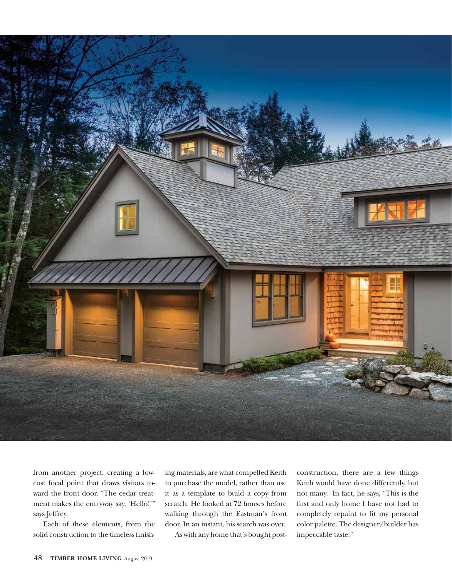

from another project, creating a lowcost focal point that draws visitors toward the front door. "The cedar treatment makes the entryway say, 'Hello!'" says Jeffrey.

Each of these elements, from the solid construction to the timeless finishing materials, are what compelled Keith to purchase the model, rather than use it as a template to build a copy from scratch. He looked at 72 houses before walking through the Eastman's front door. In an instant, his search was over.

As with any home that's bought post-

construction, there are a few things Keith would have done differently, but not many. In fact, he says, "This is the first and only home I have not had to completely repaint to fit my personal color palette. The designer/builder has impeccable taste."